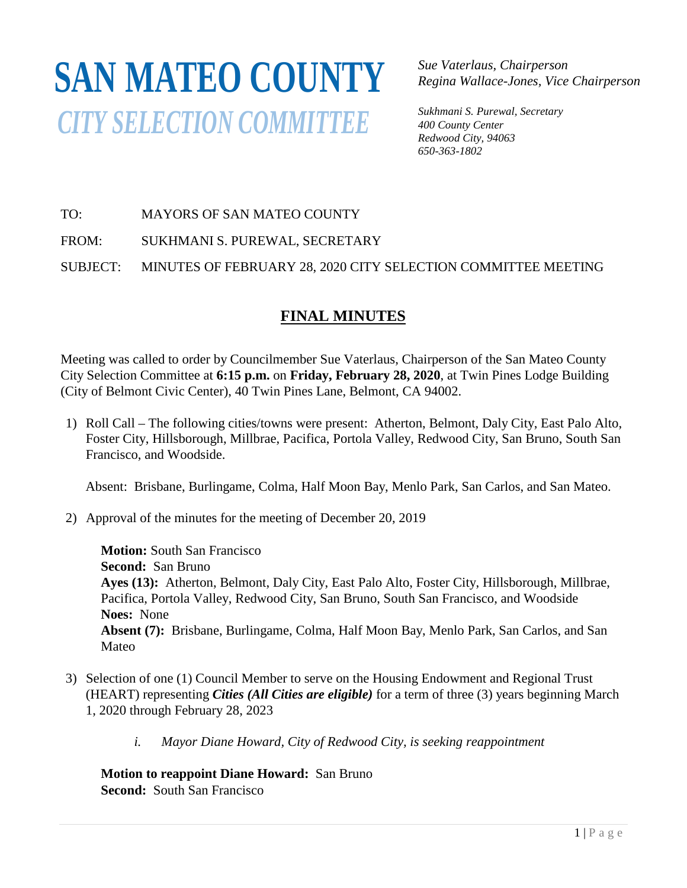## **SAN MATEO COUNTY***CITY SELECTION COMMITTEE*

*Sue Vaterlaus, Chairperson Regina Wallace-Jones, Vice Chairperson*

*Sukhmani S. Purewal, Secretary 400 County Center Redwood City, 94063 650-363-1802*

TO: MAYORS OF SAN MATEO COUNTY

FROM: SUKHMANI S. PUREWAL, SECRETARY

SUBJECT: MINUTES OF FEBRUARY 28, 2020 CITY SELECTION COMMITTEE MEETING

## **FINAL MINUTES**

Meeting was called to order by Councilmember Sue Vaterlaus, Chairperson of the San Mateo County City Selection Committee at **6:15 p.m.** on **Friday, February 28, 2020**, at Twin Pines Lodge Building (City of Belmont Civic Center), 40 Twin Pines Lane, Belmont, CA 94002.

1) Roll Call – The following cities/towns were present: Atherton, Belmont, Daly City, East Palo Alto, Foster City, Hillsborough, Millbrae, Pacifica, Portola Valley, Redwood City, San Bruno, South San Francisco, and Woodside.

Absent: Brisbane, Burlingame, Colma, Half Moon Bay, Menlo Park, San Carlos, and San Mateo.

2) Approval of the minutes for the meeting of December 20, 2019

**Motion:** South San Francisco **Second:** San Bruno **Ayes (13):** Atherton, Belmont, Daly City, East Palo Alto, Foster City, Hillsborough, Millbrae, Pacifica, Portola Valley, Redwood City, San Bruno, South San Francisco, and Woodside **Noes:** None **Absent (7):** Brisbane, Burlingame, Colma, Half Moon Bay, Menlo Park, San Carlos, and San Mateo

- 3) Selection of one (1) Council Member to serve on the Housing Endowment and Regional Trust (HEART) representing *Cities (All Cities are eligible)* for a term of three (3) years beginning March 1, 2020 through February 28, 2023
	- *i. Mayor Diane Howard, City of Redwood City, is seeking reappointment*

**Motion to reappoint Diane Howard:** San Bruno **Second:** South San Francisco